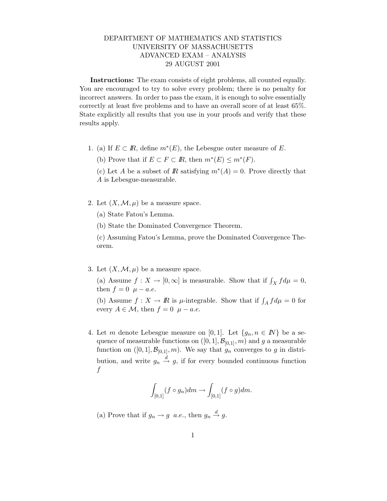## DEPARTMENT OF MATHEMATICS AND STATISTICS UNIVERSITY OF MASSACHUSETTS ADVANCED EXAM – ANALYSIS 29 AUGUST 2001

Instructions: The exam consists of eight problems, all counted equally. You are encouraged to try to solve every problem; there is no penalty for incorrect answers. In order to pass the exam, it is enough to solve essentially correctly at least five problems and to have an overall score of at least 65%. State explicitly all results that you use in your proofs and verify that these results apply.

1. (a) If  $E \subset \mathbb{R}$ , define  $m^*(E)$ , the Lebesgue outer measure of E.

(b) Prove that if  $E \subset F \subset \mathbb{R}$ , then  $m^*(E) \leq m^*(F)$ .

(c) Let A be a subset of R satisfying  $m^*(A) = 0$ . Prove directly that A is Lebesgue-measurable.

- 2. Let  $(X, \mathcal{M}, \mu)$  be a measure space.
	- (a) State Fatou's Lemma.
	- (b) State the Dominated Convergence Theorem.

(c) Assuming Fatou's Lemma, prove the Dominated Convergence Theorem.

3. Let  $(X, \mathcal{M}, \mu)$  be a measure space.

(a) Assume  $f: X \to [0, \infty]$  is measurable. Show that if  $\int_X f d\mu = 0$ , then  $f = 0$   $\mu - a.e.$ 

(b) Assume  $f: X \to \mathbb{R}$  is  $\mu$ -integrable. Show that if  $\int_A f d\mu = 0$  for every  $A \in \mathcal{M}$ , then  $f = 0$   $\mu - a.e.$ 

4. Let m denote Lebesgue measure on [0, 1]. Let  $\{g_n, n \in \mathbb{N}\}\)$  be a sequence of measurable functions on  $([0, 1], \mathcal{B}_{[0,1]}, m)$  and g a measurable function on  $([0, 1], \mathcal{B}_{[0,1]}, m)$ . We say that  $g_n$  converges to g in distribution, and write  $g_n \stackrel{d}{\rightarrow} g$ , if for every bounded continuous function f

$$
\int_{[0,1]} (f \circ g_n) dm \to \int_{[0,1]} (f \circ g) dm.
$$

(a) Prove that if  $g_n \to g$  a.e., then  $g_n \stackrel{d}{\to} g$ .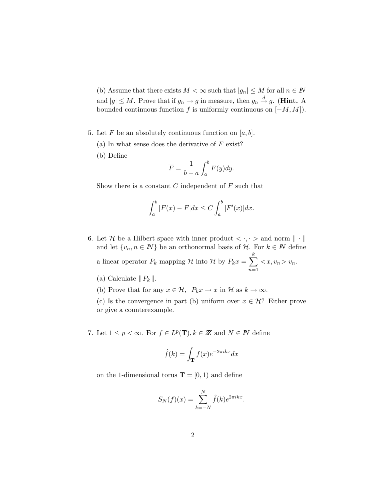(b) Assume that there exists  $M < \infty$  such that  $|g_n| \leq M$  for all  $n \in \mathbb{N}$ and  $|g| \leq M$ . Prove that if  $g_n \to g$  in measure, then  $g_n \stackrel{d}{\to} g$ . (**Hint.** A bounded continuous function f is uniformly continuous on  $[-M, M]$ .

- 5. Let F be an absolutely continuous function on  $[a, b]$ .
	- (a) In what sense does the derivative of  $F$  exist?
	- (b) Define

$$
\overline{F} = \frac{1}{b-a} \int_a^b F(y) dy.
$$

Show there is a constant  $C$  independent of  $F$  such that

$$
\int_a^b |F(x) - \overline{F}| dx \le C \int_a^b |F'(x)| dx.
$$

- 6. Let H be a Hilbert space with inner product  $\langle \cdot, \cdot \rangle$  and norm  $\|\cdot\|$ and let  $\{v_n, n \in \mathbb{N}\}$  be an orthonormal basis of  $\mathcal{H}$ . For  $k \in \mathbb{N}$  define a linear operator  $P_k$  mapping H into H by  $P_k x = \sum$ k  $n=1$  $\langle x, v_n \rangle v_n$ .
	- (a) Calculate  $||P_k||$ .
	- (b) Prove that for any  $x \in \mathcal{H}$ ,  $P_k x \to x$  in  $\mathcal{H}$  as  $k \to \infty$ .

(c) Is the convergence in part (b) uniform over  $x \in \mathcal{H}$ ? Either prove or give a counterexample.

7. Let  $1 \leq p < \infty$ . For  $f \in L^p(\mathbf{T}), k \in \mathbb{Z}$  and  $N \in \mathbb{N}$  define

$$
\hat{f}(k) = \int_{\mathbf{T}} f(x)e^{-2\pi ikx} dx
$$

on the 1-dimensional torus  $\mathbf{T} = [0, 1)$  and define

$$
S_N(f)(x) = \sum_{k=-N}^{N} \hat{f}(k)e^{2\pi ikx}
$$

.